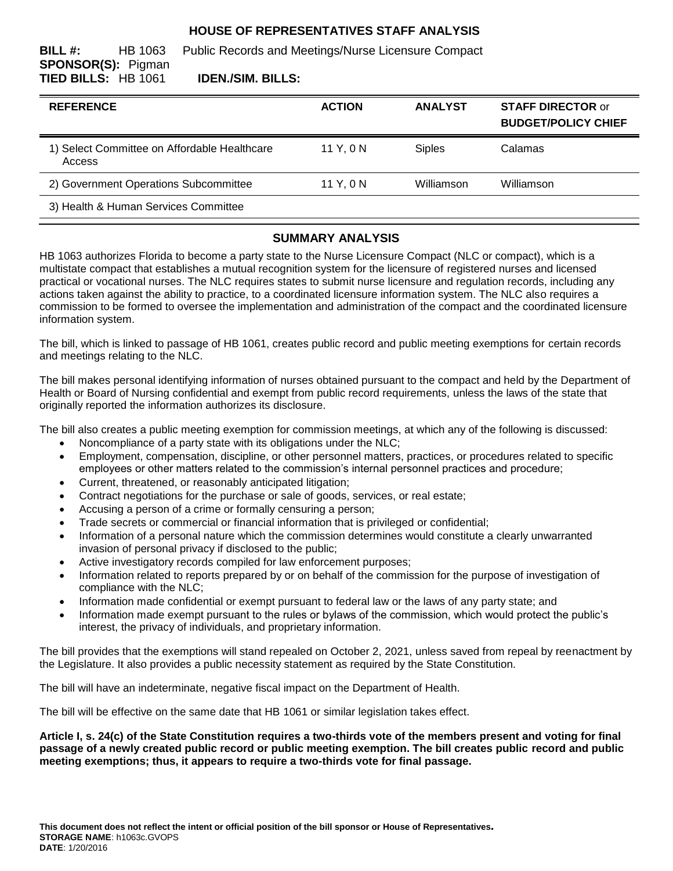# **HOUSE OF REPRESENTATIVES STAFF ANALYSIS**

**BILL #:** HB 1063 Public Records and Meetings/Nurse Licensure Compact **SPONSOR(S):** Pigman **TIED BILLS:** HB 1061 **IDEN./SIM. BILLS:**

| <b>REFERENCE</b>                                       | <b>ACTION</b> | <b>ANALYST</b> | <b>STAFF DIRECTOR or</b><br><b>BUDGET/POLICY CHIEF</b> |
|--------------------------------------------------------|---------------|----------------|--------------------------------------------------------|
| 1) Select Committee on Affordable Healthcare<br>Access | 11 Y.O N      | <b>Siples</b>  | Calamas                                                |
| 2) Government Operations Subcommittee                  | 11 Y. 0 N     | Williamson     | Williamson                                             |
| 3) Health & Human Services Committee                   |               |                |                                                        |

#### **SUMMARY ANALYSIS**

HB 1063 authorizes Florida to become a party state to the Nurse Licensure Compact (NLC or compact), which is a multistate compact that establishes a mutual recognition system for the licensure of registered nurses and licensed practical or vocational nurses. The NLC requires states to submit nurse licensure and regulation records, including any actions taken against the ability to practice, to a coordinated licensure information system. The NLC also requires a commission to be formed to oversee the implementation and administration of the compact and the coordinated licensure information system.

The bill, which is linked to passage of HB 1061, creates public record and public meeting exemptions for certain records and meetings relating to the NLC.

The bill makes personal identifying information of nurses obtained pursuant to the compact and held by the Department of Health or Board of Nursing confidential and exempt from public record requirements, unless the laws of the state that originally reported the information authorizes its disclosure.

The bill also creates a public meeting exemption for commission meetings, at which any of the following is discussed:

- Noncompliance of a party state with its obligations under the NLC;
- Employment, compensation, discipline, or other personnel matters, practices, or procedures related to specific employees or other matters related to the commission's internal personnel practices and procedure;
- Current, threatened, or reasonably anticipated litigation;
- Contract negotiations for the purchase or sale of goods, services, or real estate;
- Accusing a person of a crime or formally censuring a person;
- Trade secrets or commercial or financial information that is privileged or confidential;
- Information of a personal nature which the commission determines would constitute a clearly unwarranted invasion of personal privacy if disclosed to the public;
- Active investigatory records compiled for law enforcement purposes;
- Information related to reports prepared by or on behalf of the commission for the purpose of investigation of compliance with the NLC;
- Information made confidential or exempt pursuant to federal law or the laws of any party state; and
- Information made exempt pursuant to the rules or bylaws of the commission, which would protect the public's interest, the privacy of individuals, and proprietary information.

The bill provides that the exemptions will stand repealed on October 2, 2021, unless saved from repeal by reenactment by the Legislature. It also provides a public necessity statement as required by the State Constitution.

The bill will have an indeterminate, negative fiscal impact on the Department of Health.

The bill will be effective on the same date that HB 1061 or similar legislation takes effect.

**Article I, s. 24(c) of the State Constitution requires a two-thirds vote of the members present and voting for final passage of a newly created public record or public meeting exemption. The bill creates public record and public meeting exemptions; thus, it appears to require a two-thirds vote for final passage.**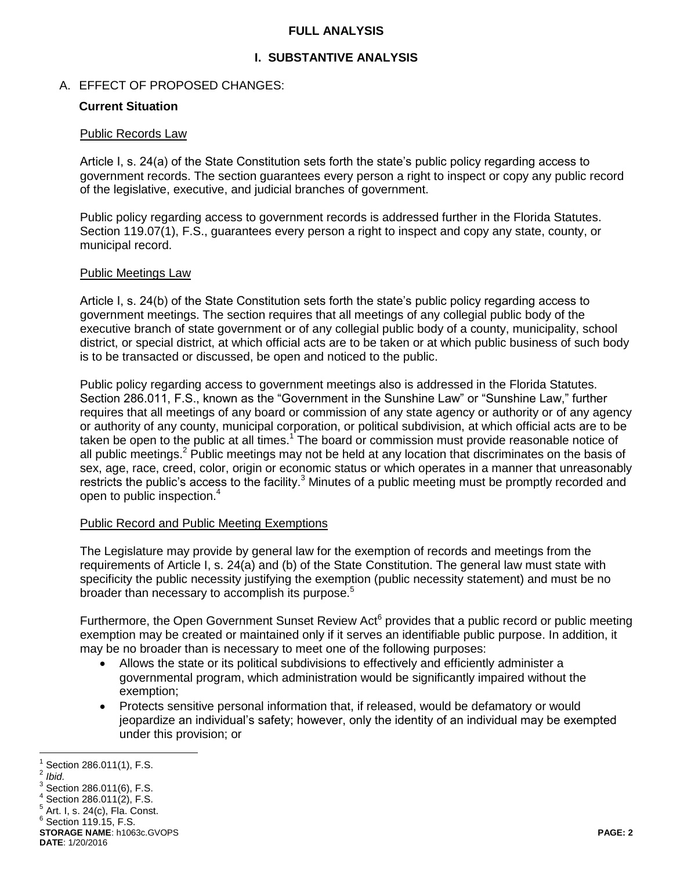### **FULL ANALYSIS**

# **I. SUBSTANTIVE ANALYSIS**

### A. EFFECT OF PROPOSED CHANGES:

### **Current Situation**

#### Public Records Law

Article I, s. 24(a) of the State Constitution sets forth the state's public policy regarding access to government records. The section guarantees every person a right to inspect or copy any public record of the legislative, executive, and judicial branches of government.

Public policy regarding access to government records is addressed further in the Florida Statutes. Section 119.07(1), F.S., guarantees every person a right to inspect and copy any state, county, or municipal record.

#### Public Meetings Law

Article I, s. 24(b) of the State Constitution sets forth the state's public policy regarding access to government meetings. The section requires that all meetings of any collegial public body of the executive branch of state government or of any collegial public body of a county, municipality, school district, or special district, at which official acts are to be taken or at which public business of such body is to be transacted or discussed, be open and noticed to the public.

Public policy regarding access to government meetings also is addressed in the Florida Statutes. Section 286.011, F.S., known as the "Government in the Sunshine Law" or "Sunshine Law," further requires that all meetings of any board or commission of any state agency or authority or of any agency or authority of any county, municipal corporation, or political subdivision, at which official acts are to be taken be open to the public at all times.<sup>1</sup> The board or commission must provide reasonable notice of all public meetings.<sup>2</sup> Public meetings may not be held at any location that discriminates on the basis of sex, age, race, creed, color, origin or economic status or which operates in a manner that unreasonably restricts the public's access to the facility.<sup>3</sup> Minutes of a public meeting must be promptly recorded and open to public inspection.<sup>4</sup>

### Public Record and Public Meeting Exemptions

The Legislature may provide by general law for the exemption of records and meetings from the requirements of Article I, s. 24(a) and (b) of the State Constitution. The general law must state with specificity the public necessity justifying the exemption (public necessity statement) and must be no broader than necessary to accomplish its purpose.<sup>5</sup>

Furthermore, the Open Government Sunset Review Act<sup>6</sup> provides that a public record or public meeting exemption may be created or maintained only if it serves an identifiable public purpose. In addition, it may be no broader than is necessary to meet one of the following purposes:

- Allows the state or its political subdivisions to effectively and efficiently administer a governmental program, which administration would be significantly impaired without the exemption;
- Protects sensitive personal information that, if released, would be defamatory or would jeopardize an individual's safety; however, only the identity of an individual may be exempted under this provision; or

 $\overline{a}$ 1 Section 286.011(1), F.S.

<sup>2</sup> *Ibid.*

 $^3$  Section 286.011(6), F.S.

 $4$  Section 286.011(2), F.S.

 $^5$  Art. I, s. 24(c), Fla. Const.

 $6$  Section 119.15, F.S.

**STORAGE NAME**: h1063c.GVOPS **PAGE: 2 DATE**: 1/20/2016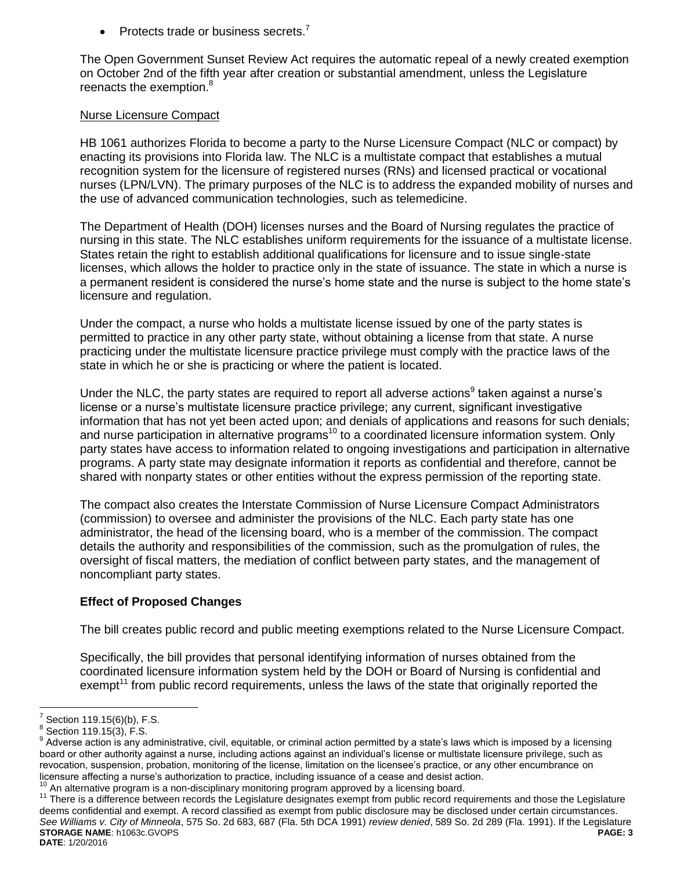• Protects trade or business secrets. $<sup>7</sup>$ </sup>

The Open Government Sunset Review Act requires the automatic repeal of a newly created exemption on October 2nd of the fifth year after creation or substantial amendment, unless the Legislature reenacts the exemption.<sup>8</sup>

#### Nurse Licensure Compact

HB 1061 authorizes Florida to become a party to the Nurse Licensure Compact (NLC or compact) by enacting its provisions into Florida law. The NLC is a multistate compact that establishes a mutual recognition system for the licensure of registered nurses (RNs) and licensed practical or vocational nurses (LPN/LVN). The primary purposes of the NLC is to address the expanded mobility of nurses and the use of advanced communication technologies, such as telemedicine.

The Department of Health (DOH) licenses nurses and the Board of Nursing regulates the practice of nursing in this state. The NLC establishes uniform requirements for the issuance of a multistate license. States retain the right to establish additional qualifications for licensure and to issue single-state licenses, which allows the holder to practice only in the state of issuance. The state in which a nurse is a permanent resident is considered the nurse's home state and the nurse is subject to the home state's licensure and regulation.

Under the compact, a nurse who holds a multistate license issued by one of the party states is permitted to practice in any other party state, without obtaining a license from that state. A nurse practicing under the multistate licensure practice privilege must comply with the practice laws of the state in which he or she is practicing or where the patient is located.

Under the NLC, the party states are required to report all adverse actions<sup>9</sup> taken against a nurse's license or a nurse's multistate licensure practice privilege; any current, significant investigative information that has not yet been acted upon; and denials of applications and reasons for such denials; and nurse participation in alternative programs<sup>10</sup> to a coordinated licensure information system. Only party states have access to information related to ongoing investigations and participation in alternative programs. A party state may designate information it reports as confidential and therefore, cannot be shared with nonparty states or other entities without the express permission of the reporting state.

The compact also creates the Interstate Commission of Nurse Licensure Compact Administrators (commission) to oversee and administer the provisions of the NLC. Each party state has one administrator, the head of the licensing board, who is a member of the commission. The compact details the authority and responsibilities of the commission, such as the promulgation of rules, the oversight of fiscal matters, the mediation of conflict between party states, and the management of noncompliant party states.

### **Effect of Proposed Changes**

The bill creates public record and public meeting exemptions related to the Nurse Licensure Compact.

Specifically, the bill provides that personal identifying information of nurses obtained from the coordinated licensure information system held by the DOH or Board of Nursing is confidential and exempt<sup>11</sup> from public record requirements, unless the laws of the state that originally reported the

 $\overline{a}$ 

**STORAGE NAME**: h1063c.GVOPS **PAGE: 3 DATE**: 1/20/2016 <sup>11</sup> There is a difference between records the Legislature designates exempt from public record requirements and those the Legislature deems confidential and exempt. A record classified as exempt from public disclosure may be disclosed under certain circumstances. *See Williams v. City of Minneola*, 575 So. 2d 683, 687 (Fla. 5th DCA 1991) *review denied*, 589 So. 2d 289 (Fla. 1991). If the Legislature

<sup>7</sup> Section 119.15(6)(b), F.S.

 $^8$  Section 119.15(3), F.S.

 $9$  Adverse action is any administrative, civil, equitable, or criminal action permitted by a state's laws which is imposed by a licensing board or other authority against a nurse, including actions against an individual's license or multistate licensure privilege, such as revocation, suspension, probation, monitoring of the license, limitation on the licensee's practice, or any other encumbrance on licensure affecting a nurse's authorization to practice, including issuance of a cease and desist action.<br><sup>10</sup> An elforestive against in a non-disciplinary manifesting against a property allows licensian hoard.

An alternative program is a non-disciplinary monitoring program approved by a licensing board.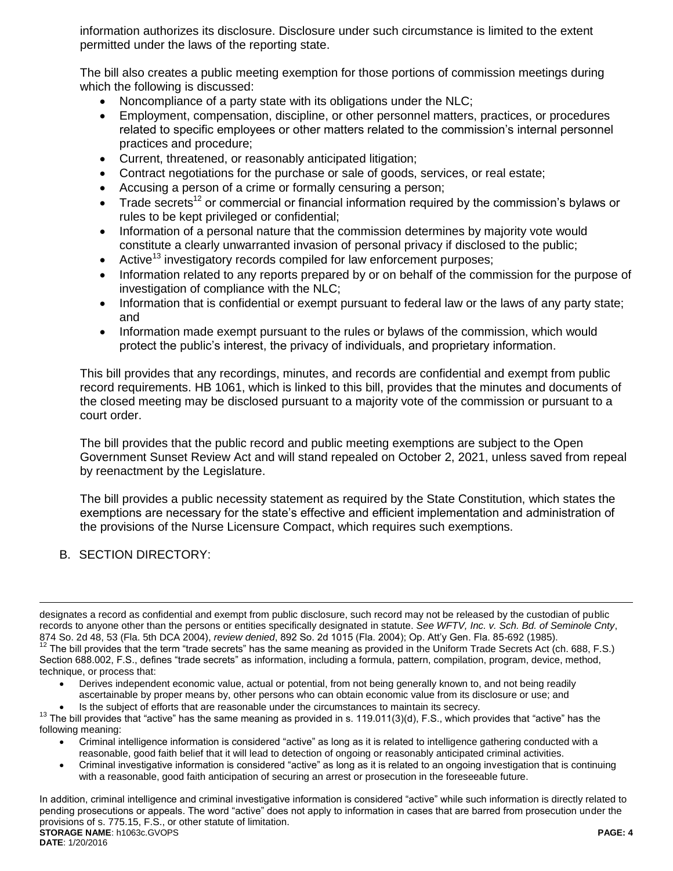information authorizes its disclosure. Disclosure under such circumstance is limited to the extent permitted under the laws of the reporting state.

The bill also creates a public meeting exemption for those portions of commission meetings during which the following is discussed:

- Noncompliance of a party state with its obligations under the NLC;
- Employment, compensation, discipline, or other personnel matters, practices, or procedures related to specific employees or other matters related to the commission's internal personnel practices and procedure;
- Current, threatened, or reasonably anticipated litigation;
- Contract negotiations for the purchase or sale of goods, services, or real estate;
- Accusing a person of a crime or formally censuring a person;
- Trade secrets<sup>12</sup> or commercial or financial information required by the commission's bylaws or rules to be kept privileged or confidential;
- Information of a personal nature that the commission determines by majority vote would constitute a clearly unwarranted invasion of personal privacy if disclosed to the public;
- Active<sup>13</sup> investigatory records compiled for law enforcement purposes;
- Information related to any reports prepared by or on behalf of the commission for the purpose of investigation of compliance with the NLC;
- Information that is confidential or exempt pursuant to federal law or the laws of any party state; and
- Information made exempt pursuant to the rules or bylaws of the commission, which would protect the public's interest, the privacy of individuals, and proprietary information.

This bill provides that any recordings, minutes, and records are confidential and exempt from public record requirements. HB 1061, which is linked to this bill, provides that the minutes and documents of the closed meeting may be disclosed pursuant to a majority vote of the commission or pursuant to a court order.

The bill provides that the public record and public meeting exemptions are subject to the Open Government Sunset Review Act and will stand repealed on October 2, 2021, unless saved from repeal by reenactment by the Legislature.

The bill provides a public necessity statement as required by the State Constitution, which states the exemptions are necessary for the state's effective and efficient implementation and administration of the provisions of the Nurse Licensure Compact, which requires such exemptions.

B. SECTION DIRECTORY:

 $\overline{a}$ 

- Derives independent economic value, actual or potential, from not being generally known to, and not being readily ascertainable by proper means by, other persons who can obtain economic value from its disclosure or use; and
- Is the subject of efforts that are reasonable under the circumstances to maintain its secrecy.

- Criminal intelligence information is considered "active" as long as it is related to intelligence gathering conducted with a reasonable, good faith belief that it will lead to detection of ongoing or reasonably anticipated criminal activities.
- Criminal investigative information is considered "active" as long as it is related to an ongoing investigation that is continuing with a reasonable, good faith anticipation of securing an arrest or prosecution in the foreseeable future.

**STORAGE NAME**: h1063c.GVOPS **PAGE: 4 DATE**: 1/20/2016 In addition, criminal intelligence and criminal investigative information is considered "active" while such information is directly related to pending prosecutions or appeals. The word "active" does not apply to information in cases that are barred from prosecution under the provisions of s. 775.15, F.S., or other statute of limitation.

designates a record as confidential and exempt from public disclosure, such record may not be released by the custodian of public records to anyone other than the persons or entities specifically designated in statute. *See WFTV, Inc. v. Sch. Bd. of Seminole Cnty*, 874 So. 2d 48, 53 (Fla. 5th DCA 2004), *review denied*, 892 So. 2d 1015 (Fla. 2004); Op. Att'y Gen. Fla. 85-692 (1985).  $12$  The bill provides that the term "trade secrets" has the same meaning as provided in the Uniform Trade Secrets Act (ch. 688, F.S.) Section 688.002, F.S., defines "trade secrets" as information, including a formula, pattern, compilation, program, device, method, technique, or process that:

 $13$  The bill provides that "active" has the same meaning as provided in s. 119.011(3)(d), F.S., which provides that "active" has the following meaning: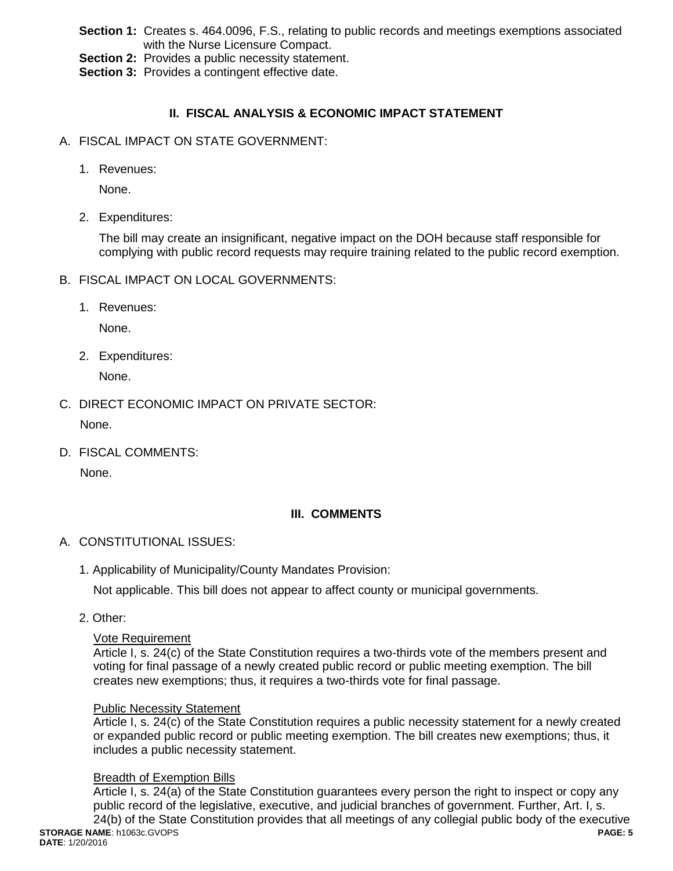- **Section 1:** Creates s. 464.0096, F.S., relating to public records and meetings exemptions associated with the Nurse Licensure Compact.
- **Section 2:** Provides a public necessity statement.
- **Section 3: Provides a contingent effective date.**

# **II. FISCAL ANALYSIS & ECONOMIC IMPACT STATEMENT**

- A. FISCAL IMPACT ON STATE GOVERNMENT:
	- 1. Revenues:

None.

2. Expenditures:

The bill may create an insignificant, negative impact on the DOH because staff responsible for complying with public record requests may require training related to the public record exemption.

- B. FISCAL IMPACT ON LOCAL GOVERNMENTS:
	- 1. Revenues:

None.

2. Expenditures:

None.

C. DIRECT ECONOMIC IMPACT ON PRIVATE SECTOR:

None.

D. FISCAL COMMENTS:

None.

### **III. COMMENTS**

- A. CONSTITUTIONAL ISSUES:
	- 1. Applicability of Municipality/County Mandates Provision:

Not applicable. This bill does not appear to affect county or municipal governments.

2. Other:

#### Vote Requirement

Article I, s. 24(c) of the State Constitution requires a two-thirds vote of the members present and voting for final passage of a newly created public record or public meeting exemption. The bill creates new exemptions; thus, it requires a two-thirds vote for final passage.

#### Public Necessity Statement

Article I, s. 24(c) of the State Constitution requires a public necessity statement for a newly created or expanded public record or public meeting exemption. The bill creates new exemptions; thus, it includes a public necessity statement.

### Breadth of Exemption Bills

Article I, s. 24(a) of the State Constitution guarantees every person the right to inspect or copy any public record of the legislative, executive, and judicial branches of government. Further, Art. I, s.